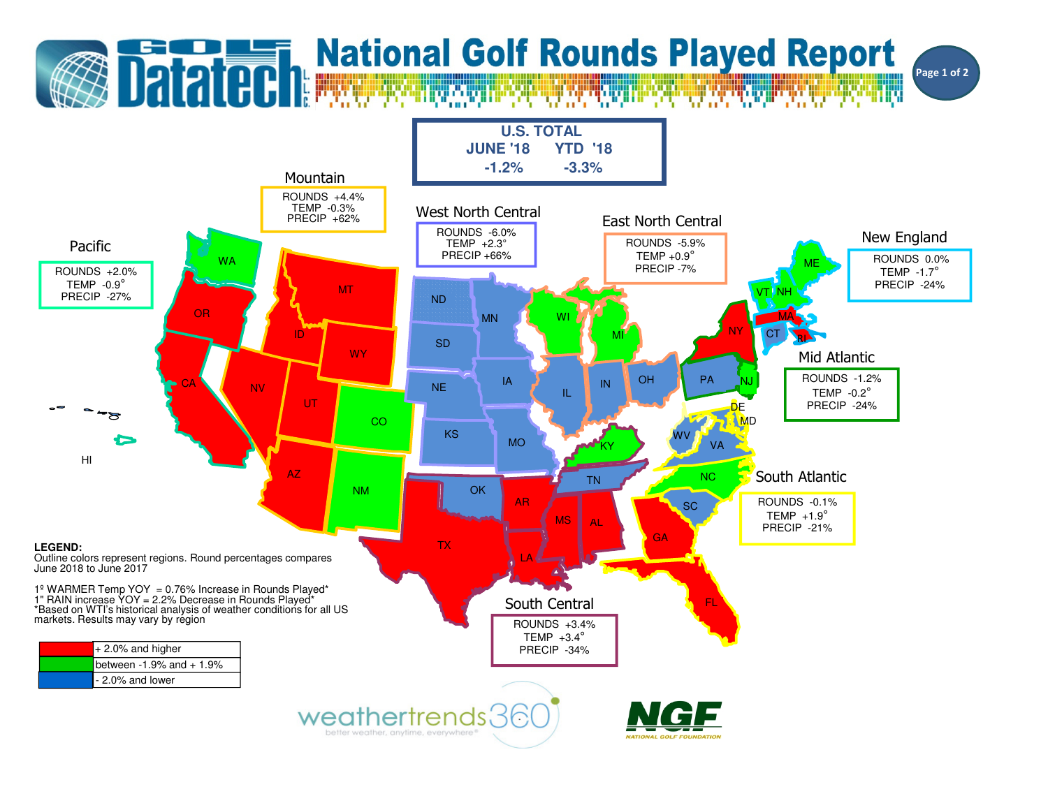